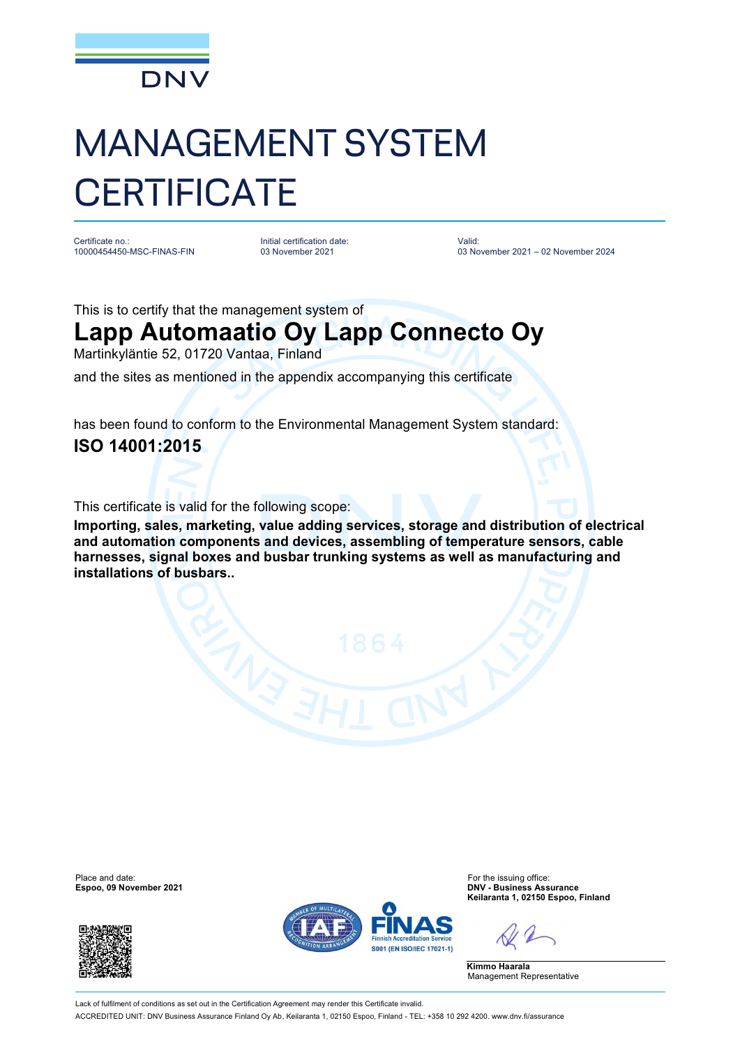

## MANAGEMENT SYSTEM **CERTIFICATE**

Certificate no.: 10000454450-MSC-FINAS-FIN

Initial certification date: 03 November 2021

Valid: 03 November 2021 – 02 November 2024

This is to certify that the management system of

## **Lapp Automaatio Oy Lapp Connecto Oy**

Martinkyläntie 52, 01720 Vantaa, Finland

and the sites as mentioned in the appendix accompanying this certificate

has been found to conform to the Environmental Management System standard: **ISO 14001:2015**

This certificate is valid for the following scope:

**Importing, sales, marketing, value adding services, storage and distribution of electrical and automation components and devices, assembling of temperature sensors, cable harnesses, signal boxes and busbar trunking systems as well as manufacturing and installations of busbars..**

Place and date: For the issuing office:<br>
For the issuing office:<br>
Figure 2021 **Exponent Contract Contract Contract Contract Contract Contract Contract Contract Contract Contract Contract Contract Contract Contract Contract** 





**Espoo, 09 November 2021 DNV - Business Assurance Keilaranta 1, 02150 Espoo, Finland**

**Kimmo Haarala** Management Representative

Lack of fulfilment of conditions as set out in the Certification Agreement may render this Certificate invalid ACCREDITED UNIT: DNV Business Assurance Finland Oy Ab, Keilaranta 1, 02150 Espoo, Finland - TEL: +358 10 292 4200. [www.dnv.fi/assurance](http://www.dnv.fi/assurance)